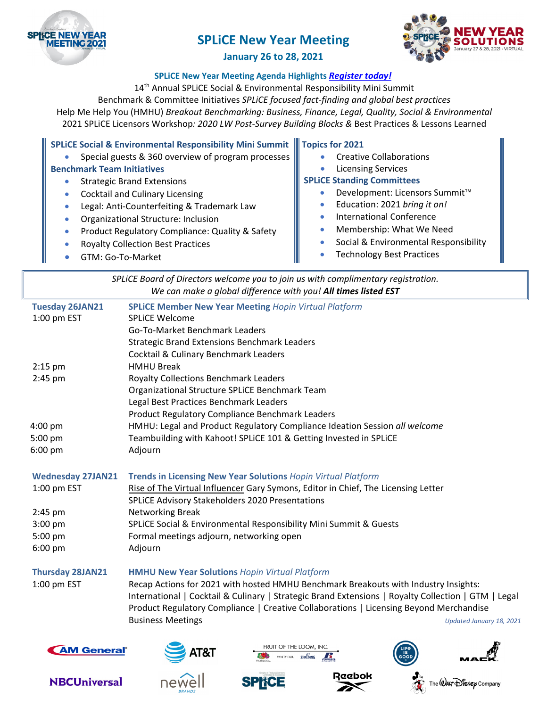



# **January 26 to 28, 2021**

# **SPLiCE New Year Meeting Agenda Highlights** *Register today!*

14<sup>th</sup> Annual SPLiCE Social & Environmental Responsibility Mini Summit

Benchmark & Committee Initiatives *SPLiCE focused fact‐finding and global best practices* Help Me Help You (HMHU) *Breakout Benchmarking: Business, Finance, Legal, Quality, Social & Environmental*  2021 SPLiCE Licensors Workshop*: 2020 LW Post‐Survey Building Blocks &* Best Practices & Lessons Learned

| SPLICE Social & Environmental Responsibility Mini Summit   Topics for 2021 |  |
|----------------------------------------------------------------------------|--|
|----------------------------------------------------------------------------|--|

- **Special guests & 360 overview of program processes Benchmark Team Initiatives**
	- Strategic Brand Extensions
	- **•** Cocktail and Culinary Licensing
	- Legal: Anti-Counterfeiting & Trademark Law
	- Organizational Structure: Inclusion
	- **•** Product Regulatory Compliance: Quality & Safety
	- Royalty Collection Best Practices
	- GTM: Go‐To‐Market
- Creative Collaborations
- Licensing Services

# **SPLiCE Standing Committees**

- Development: Licensors Summit™
- Education: 2021 *bring it on!*
- International Conference
- **•** Membership: What We Need
- Social & Environmental Responsibility
- Technology Best Practices

| SPLICE Board of Directors welcome you to join us with complimentary registration. |                                                                                                     |                          |
|-----------------------------------------------------------------------------------|-----------------------------------------------------------------------------------------------------|--------------------------|
|                                                                                   | We can make a global difference with you! All times listed EST                                      |                          |
| <b>Tuesday 26JAN21</b>                                                            | <b>SPLICE Member New Year Meeting Hopin Virtual Platform</b>                                        |                          |
| 1:00 pm EST                                                                       | <b>SPLICE Welcome</b>                                                                               |                          |
|                                                                                   | <b>Go-To-Market Benchmark Leaders</b>                                                               |                          |
|                                                                                   | <b>Strategic Brand Extensions Benchmark Leaders</b>                                                 |                          |
|                                                                                   | <b>Cocktail &amp; Culinary Benchmark Leaders</b>                                                    |                          |
| $2:15$ pm                                                                         | <b>HMHU Break</b>                                                                                   |                          |
| 2:45 pm                                                                           | <b>Royalty Collections Benchmark Leaders</b>                                                        |                          |
|                                                                                   | Organizational Structure SPLiCE Benchmark Team                                                      |                          |
|                                                                                   | Legal Best Practices Benchmark Leaders                                                              |                          |
|                                                                                   | Product Regulatory Compliance Benchmark Leaders                                                     |                          |
| $4:00$ pm                                                                         | HMHU: Legal and Product Regulatory Compliance Ideation Session all welcome                          |                          |
| 5:00 pm                                                                           | Teambuilding with Kahoot! SPLiCE 101 & Getting Invested in SPLiCE                                   |                          |
| $6:00$ pm                                                                         | Adjourn                                                                                             |                          |
|                                                                                   |                                                                                                     |                          |
| <b>Wednesday 27JAN21</b>                                                          | <b>Trends in Licensing New Year Solutions Hopin Virtual Platform</b>                                |                          |
| 1:00 pm EST                                                                       | Rise of The Virtual Influencer Gary Symons, Editor in Chief, The Licensing Letter                   |                          |
|                                                                                   | SPLICE Advisory Stakeholders 2020 Presentations                                                     |                          |
| 2:45 pm                                                                           | Networking Break                                                                                    |                          |
| 3:00 pm                                                                           | SPLICE Social & Environmental Responsibility Mini Summit & Guests                                   |                          |
| 5:00 pm                                                                           | Formal meetings adjourn, networking open                                                            |                          |
| 6:00 pm                                                                           | Adjourn                                                                                             |                          |
|                                                                                   |                                                                                                     |                          |
| <b>Thursday 28JAN21</b>                                                           | <b>HMHU New Year Solutions Hopin Virtual Platform</b>                                               |                          |
| 1:00 pm EST                                                                       | Recap Actions for 2021 with hosted HMHU Benchmark Breakouts with Industry Insights:                 |                          |
|                                                                                   | International   Cocktail & Culinary   Strategic Brand Extensions   Royalty Collection   GTM   Legal |                          |
|                                                                                   | Product Regulatory Compliance   Creative Collaborations   Licensing Beyond Merchandise              |                          |
|                                                                                   | <b>Business Meetings</b>                                                                            | Updated January 18, 2021 |
|                                                                                   |                                                                                                     |                          |



















The  $@$  AUT  $\bigoplus$  is  $\mathfrak{se}_{\rho}$  Company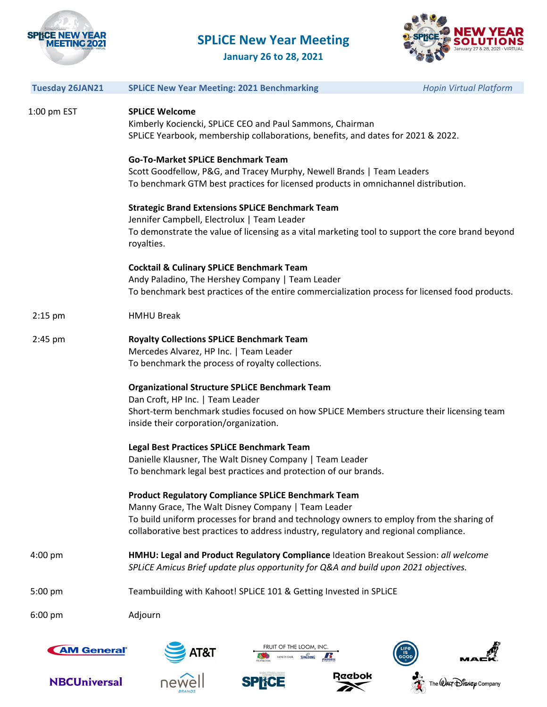



**January 26 to 28, 2021**

| <b>Tuesday 26JAN21</b> | <b>SPLICE New Year Meeting: 2021 Benchmarking</b>                                                                                                                                                                                       | <b>Hopin Virtual Platform</b> |
|------------------------|-----------------------------------------------------------------------------------------------------------------------------------------------------------------------------------------------------------------------------------------|-------------------------------|
|                        |                                                                                                                                                                                                                                         |                               |
| 1:00 pm EST            | <b>SPLICE Welcome</b><br>Kimberly Kociencki, SPLICE CEO and Paul Sammons, Chairman<br>SPLICE Yearbook, membership collaborations, benefits, and dates for 2021 & 2022.                                                                  |                               |
|                        | <b>Go-To-Market SPLICE Benchmark Team</b><br>Scott Goodfellow, P&G, and Tracey Murphy, Newell Brands   Team Leaders<br>To benchmark GTM best practices for licensed products in omnichannel distribution.                               |                               |
|                        | <b>Strategic Brand Extensions SPLICE Benchmark Team</b><br>Jennifer Campbell, Electrolux   Team Leader<br>To demonstrate the value of licensing as a vital marketing tool to support the core brand beyond<br>royalties.                |                               |
|                        | <b>Cocktail &amp; Culinary SPLICE Benchmark Team</b><br>Andy Paladino, The Hershey Company   Team Leader<br>To benchmark best practices of the entire commercialization process for licensed food products.                             |                               |
| $2:15$ pm              | <b>HMHU Break</b>                                                                                                                                                                                                                       |                               |
| 2:45 pm                | <b>Royalty Collections SPLICE Benchmark Team</b><br>Mercedes Alvarez, HP Inc.   Team Leader<br>To benchmark the process of royalty collections.                                                                                         |                               |
|                        | <b>Organizational Structure SPLiCE Benchmark Team</b>                                                                                                                                                                                   |                               |
|                        | Dan Croft, HP Inc.   Team Leader                                                                                                                                                                                                        |                               |
|                        | Short-term benchmark studies focused on how SPLiCE Members structure their licensing team<br>inside their corporation/organization.                                                                                                     |                               |
|                        | Legal Best Practices SPLICE Benchmark Team                                                                                                                                                                                              |                               |
|                        | Danielle Klausner, The Walt Disney Company   Team Leader<br>To benchmark legal best practices and protection of our brands.                                                                                                             |                               |
|                        | <b>Product Regulatory Compliance SPLICE Benchmark Team</b>                                                                                                                                                                              |                               |
|                        | Manny Grace, The Walt Disney Company   Team Leader<br>To build uniform processes for brand and technology owners to employ from the sharing of<br>collaborative best practices to address industry, regulatory and regional compliance. |                               |
| $4:00$ pm              | HMHU: Legal and Product Regulatory Compliance Ideation Breakout Session: all welcome<br>SPLICE Amicus Brief update plus opportunity for Q&A and build upon 2021 objectives.                                                             |                               |
| 5:00 pm                | Teambuilding with Kahoot! SPLICE 101 & Getting Invested in SPLICE                                                                                                                                                                       |                               |
| $6:00$ pm              | Adjourn                                                                                                                                                                                                                                 |                               |
| <b>AM Genera</b>       | FRUIT OF THE LOOM, INC<br><b>T&amp;T</b><br><b>ANITY FAIR</b>                                                                                                                                                                           |                               |







**SPHCE** 





The  $\mathcal Q$ ALT  $\mathcal D$  is  $\mathcal K\varphi$  Company

豪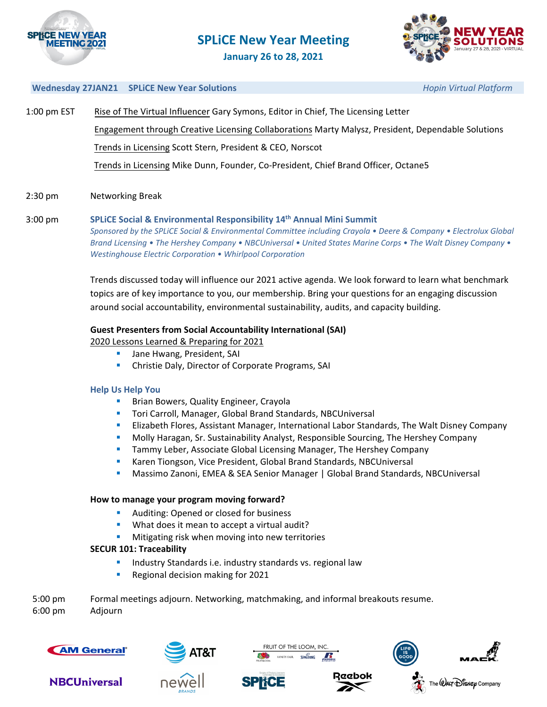



**January 26 to 28, 2021**

#### **Wednesday 27JAN21 SPLiCE New Year Solutions** *Hopin Virtual Platform*

| $1:00$ pm $EST$ | Rise of The Virtual Influencer Gary Symons, Editor in Chief, The Licensing Letter                  |  |  |
|-----------------|----------------------------------------------------------------------------------------------------|--|--|
|                 | Engagement through Creative Licensing Collaborations Marty Malysz, President, Dependable Solutions |  |  |
|                 | Trends in Licensing Scott Stern, President & CEO, Norscot                                          |  |  |
|                 | Trends in Licensing Mike Dunn, Founder, Co-President, Chief Brand Officer, Octane5                 |  |  |

# 2:30 pm Networking Break

3:00 pm **SPLiCE Social & Environmental Responsibility 14th Annual Mini Summit**  Sponsored by the SPLICE Social & Environmental Committee including Crayola . Deere & Company . Electrolux Global Brand Licensing • The Hershey Company • NBCUniversal • United States Marine Corps • The Walt Disney Company • *Westinghouse Electric Corporation • Whirlpool Corporation* 

> Trends discussed today will influence our 2021 active agenda. We look forward to learn what benchmark topics are of key importance to you, our membership. Bring your questions for an engaging discussion around social accountability, environmental sustainability, audits, and capacity building.

# **Guest Presenters from Social Accountability International (SAI)**

2020 Lessons Learned & Preparing for 2021

- Jane Hwang, President, SAI
- Christie Daly, Director of Corporate Programs, SAI

### **Help Us Help You**

- **Brian Bowers, Quality Engineer, Crayola**
- Tori Carroll, Manager, Global Brand Standards, NBCUniversal
- **Elizabeth Flores, Assistant Manager, International Labor Standards, The Walt Disney Company**
- Molly Haragan, Sr. Sustainability Analyst, Responsible Sourcing, The Hershey Company
- **Tammy Leber, Associate Global Licensing Manager, The Hershey Company**
- Karen Tiongson, Vice President, Global Brand Standards, NBCUniversal
- Massimo Zanoni, EMEA & SEA Senior Manager | Global Brand Standards, NBCUniversal

### **How to manage your program moving forward?**

- Auditing: Opened or closed for business
- **What does it mean to accept a virtual audit?**
- Mitigating risk when moving into new territories

### **SECUR 101: Traceability**

- **Industry Standards i.e. industry standards vs. regional law**
- Regional decision making for 2021

| $5:00$ pm         | Formal meetings adjourn. Networking, matchmaking, and informal breakouts resume. |
|-------------------|----------------------------------------------------------------------------------|
| $6:00 \text{ pm}$ | Adiourn                                                                          |